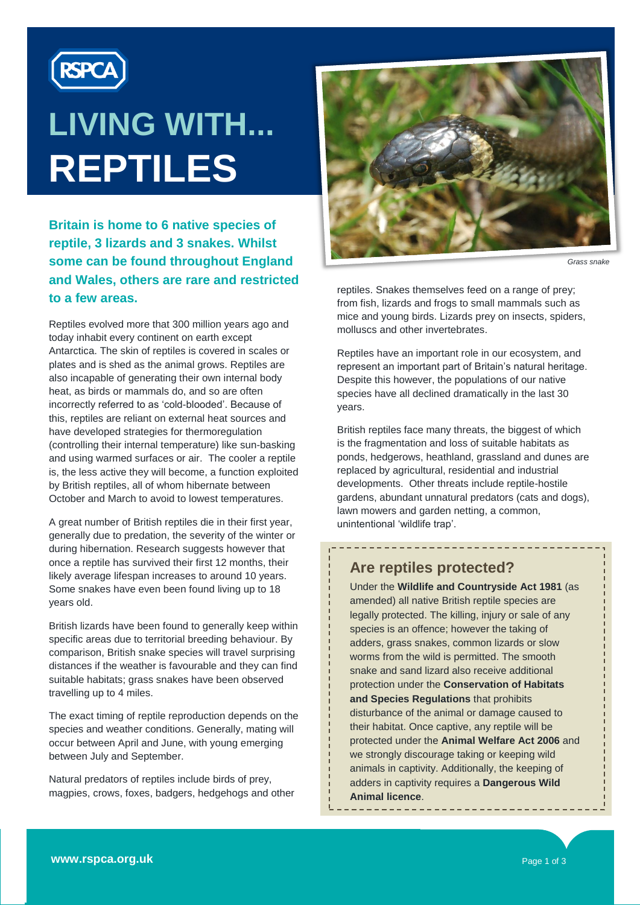

# **LIVING WITH... REPTILES**

**Britain is home to 6 native species of reptile, 3 lizards and 3 snakes. Whilst some can be found throughout England and Wales, others are rare and restricted to a few areas.**

Reptiles evolved more that 300 million years ago and today inhabit every continent on earth except Antarctica. The skin of reptiles is covered in scales or plates and is shed as the animal grows. Reptiles are also incapable of generating their own internal body heat, as birds or mammals do, and so are often incorrectly referred to as 'cold-blooded'. Because of this, reptiles are reliant on external heat sources and have developed strategies for thermoregulation (controlling their internal temperature) like sun-basking and using warmed surfaces or air. The cooler a reptile is, the less active they will become, a function exploited by British reptiles, all of whom hibernate between October and March to avoid to lowest temperatures.

A great number of British reptiles die in their first year, generally due to predation, the severity of the winter or during hibernation. Research suggests however that once a reptile has survived their first 12 months, their likely average lifespan increases to around 10 years. Some snakes have even been found living up to 18 years old.

British lizards have been found to generally keep within specific areas due to territorial breeding behaviour. By comparison, British snake species will travel surprising distances if the weather is favourable and they can find suitable habitats; grass snakes have been observed travelling up to 4 miles.

The exact timing of reptile reproduction depends on the species and weather conditions. Generally, mating will occur between April and June, with young emerging between July and September.

Natural predators of reptiles include birds of prey, magpies, crows, foxes, badgers, hedgehogs and other



*Grass snake*

reptiles. Snakes themselves feed on a range of prey; from fish, lizards and frogs to small mammals such as mice and young birds. Lizards prey on insects, spiders, molluscs and other invertebrates.

Reptiles have an important role in our ecosystem, and represent an important part of Britain's natural heritage. Despite this however, the populations of our native species have all declined dramatically in the last 30 years.

British reptiles face many threats, the biggest of which is the fragmentation and loss of suitable habitats as ponds, hedgerows, heathland, grassland and dunes are replaced by agricultural, residential and industrial developments. Other threats include reptile-hostile gardens, abundant unnatural predators (cats and dogs), lawn mowers and garden netting, a common, unintentional 'wildlife trap'.

----------------------------------

#### **Are reptiles protected?**

Under the **Wildlife and Countryside Act 1981** (as amended) all native British reptile species are legally protected. The killing, injury or sale of any species is an offence; however the taking of adders, grass snakes, common lizards or slow worms from the wild is permitted. The smooth snake and sand lizard also receive additional protection under the **Conservation of Habitats and Species Regulations** that prohibits disturbance of the animal or damage caused to their habitat. Once captive, any reptile will be protected under the **Animal Welfare Act 2006** and we strongly discourage taking or keeping wild animals in captivity. Additionally, the keeping of adders in captivity requires a **Dangerous Wild Animal licence**.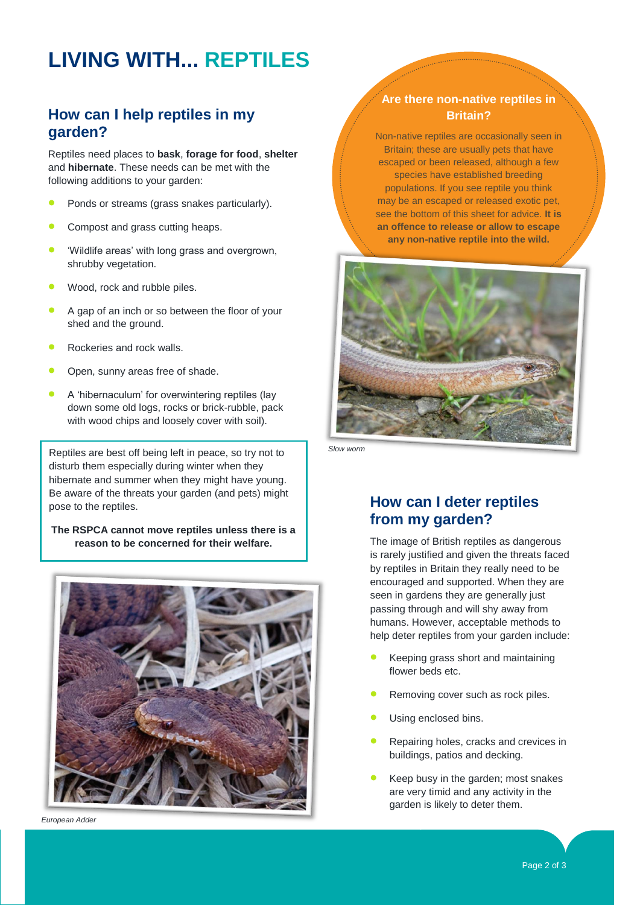## **LIVING WITH... REPTILES**

#### **How can I help reptiles in my garden?**

Reptiles need places to **bask**, **forage for food**, **shelter** and **hibernate**. These needs can be met with the following additions to your garden:

- Ponds or streams (grass snakes particularly).
- Compost and grass cutting heaps.
- 'Wildlife areas' with long grass and overgrown, shrubby vegetation.
- Wood, rock and rubble piles.
- A gap of an inch or so between the floor of your shed and the ground.
- Rockeries and rock walls.
- Open, sunny areas free of shade.
- A 'hibernaculum' for overwintering reptiles (lay down some old logs, rocks or brick-rubble, pack with wood chips and loosely cover with soil).

Reptiles are best off being left in peace, so try not to disturb them especially during winter when they hibernate and summer when they might have young. Be aware of the threats your garden (and pets) might pose to the reptiles.

**The RSPCA cannot move reptiles unless there is a reason to be concerned for their welfare.**



*European Adder*

#### **Are there non-native reptiles in Britain?**

Non-native reptiles are occasionally seen in Britain; these are usually pets that have escaped or been released, although a few species have established breeding populations. If you see reptile you think may be an escaped or released exotic pet, see the bottom of this sheet for advice. **It is an offence to release or allow to escape any non-native reptile into the wild.**



*Slow worm*

#### **How can I deter reptiles from my garden?**

The image of British reptiles as dangerous is rarely justified and given the threats faced by reptiles in Britain they really need to be encouraged and supported. When they are seen in gardens they are generally just passing through and will shy away from humans. However, acceptable methods to help deter reptiles from your garden include:

- Keeping grass short and maintaining flower beds etc.
- Removing cover such as rock piles.
- Using enclosed bins.
- Repairing holes, cracks and crevices in buildings, patios and decking.
- Keep busy in the garden; most snakes are very timid and any activity in the garden is likely to deter them.